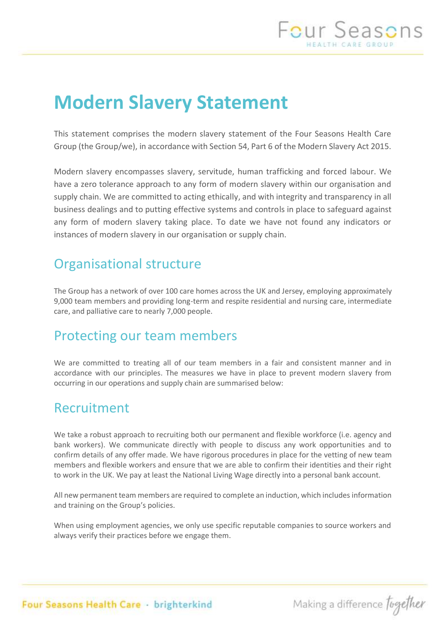# **Modern Slavery Statement**

This statement comprises the modern slavery statement of the Four Seasons Health Care Group (the Group/we), in accordance with Section 54, Part 6 of the Modern Slavery Act 2015.

Modern slavery encompasses slavery, servitude, human trafficking and forced labour. We have a zero tolerance approach to any form of modern slavery within our organisation and supply chain. We are committed to acting ethically, and with integrity and transparency in all business dealings and to putting effective systems and controls in place to safeguard against any form of modern slavery taking place. To date we have not found any indicators or instances of modern slavery in our organisation or supply chain.

### Organisational structure

The Group has a network of over 100 care homes across the UK and Jersey, employing approximately 9,000 team members and providing long-term and respite residential and nursing care, intermediate care, and palliative care to nearly 7,000 people.

### Protecting our team members

We are committed to treating all of our team members in a fair and consistent manner and in accordance with our principles. The measures we have in place to prevent modern slavery from occurring in our operations and supply chain are summarised below:

### Recruitment

We take a robust approach to recruiting both our permanent and flexible workforce (i.e. agency and bank workers). We communicate directly with people to discuss any work opportunities and to confirm details of any offer made. We have rigorous procedures in place for the vetting of new team members and flexible workers and ensure that we are able to confirm their identities and their right to work in the UK. We pay at least the National Living Wage directly into a personal bank account.

All new permanent team members are required to complete an induction, which includes information and training on the Group's policies.

When using employment agencies, we only use specific reputable companies to source workers and always verify their practices before we engage them.

Four Seasons Health Care · brighterkind

Making a difference fugether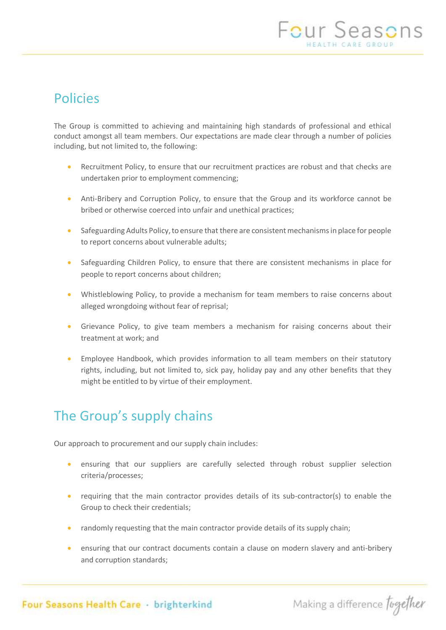## Policies

The Group is committed to achieving and maintaining high standards of professional and ethical conduct amongst all team members. Our expectations are made clear through a number of policies including, but not limited to, the following:

- Recruitment Policy, to ensure that our recruitment practices are robust and that checks are undertaken prior to employment commencing;
- Anti-Bribery and Corruption Policy, to ensure that the Group and its workforce cannot be bribed or otherwise coerced into unfair and unethical practices;
- Safeguarding Adults Policy, to ensure that there are consistent mechanisms in place for people to report concerns about vulnerable adults;
- Safeguarding Children Policy, to ensure that there are consistent mechanisms in place for people to report concerns about children;
- Whistleblowing Policy, to provide a mechanism for team members to raise concerns about alleged wrongdoing without fear of reprisal;
- Grievance Policy, to give team members a mechanism for raising concerns about their treatment at work; and
- Employee Handbook, which provides information to all team members on their statutory rights, including, but not limited to, sick pay, holiday pay and any other benefits that they might be entitled to by virtue of their employment.

## The Group's supply chains

Our approach to procurement and our supply chain includes:

- ensuring that our suppliers are carefully selected through robust supplier selection criteria/processes;
- requiring that the main contractor provides details of its sub-contractor(s) to enable the Group to check their credentials;
- randomly requesting that the main contractor provide details of its supply chain;
- ensuring that our contract documents contain a clause on modern slavery and anti-bribery and corruption standards;

Four Seasons Health Care · brighterkind

Making a difference together